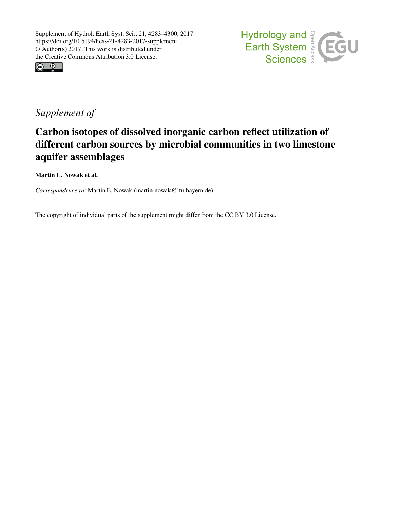



# *Supplement of*

# Carbon isotopes of dissolved inorganic carbon reflect utilization of different carbon sources by microbial communities in two limestone aquifer assemblages

Martin E. Nowak et al.

*Correspondence to:* Martin E. Nowak (martin.nowak@lfu.bayern.de)

The copyright of individual parts of the supplement might differ from the CC BY 3.0 License.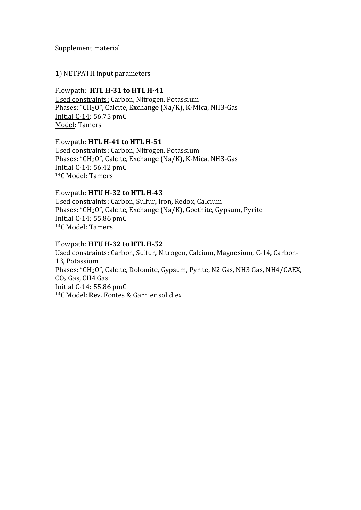#### Supplement material

#### 1) NETPATH input parameters

#### Flowpath: HTL H-31 to HTL H-41

Used constraints: Carbon, Nitrogen, Potassium Phases: "CH<sub>2</sub>O", Calcite, Exchange (Na/K), K-Mica, NH3-Gas Initial  $C-14: 56.75$  pm $C$ Model: Tamers

### Flowpath: HTL H-41 to HTL H-51

Used constraints: Carbon, Nitrogen, Potassium Phases: " $CH<sub>2</sub>O$ ", Calcite, Exchange (Na/K), K-Mica, NH3-Gas Initial C-14:  $56.42$  pmC <sup>14</sup>C Model: Tamers

## Flowpath: **HTU H-32 to HTL H-43**

Used constraints: Carbon, Sulfur, Iron, Redox, Calcium Phases: " $CH<sub>2</sub>O$ ", Calcite, Exchange (Na/K), Goethite, Gypsum, Pyrite Initial  $C-14$ : 55.86 pm $C$ <sup>14</sup>C Model: Tamers

### Flowpath: **HTU H-32 to HTL H-52**

Used constraints: Carbon, Sulfur, Nitrogen, Calcium, Magnesium, C-14, Carbon-13, Potassium Phases: "CH<sub>2</sub>O", Calcite, Dolomite, Gypsum, Pyrite, N2 Gas, NH3 Gas, NH4/CAEX, CO<sub>2</sub> Gas, CH4 Gas Initial C-14:  $55.86$  pmC <sup>14</sup>C Model: Rev. Fontes & Garnier solid ex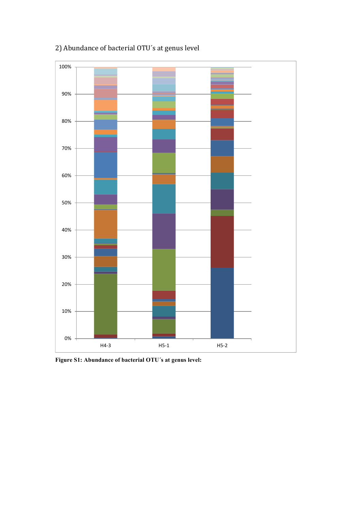

# 2) Abundance of bacterial OTU's at genus level

**Figure S1: Abundance of bacterial OTU´s at genus level:**